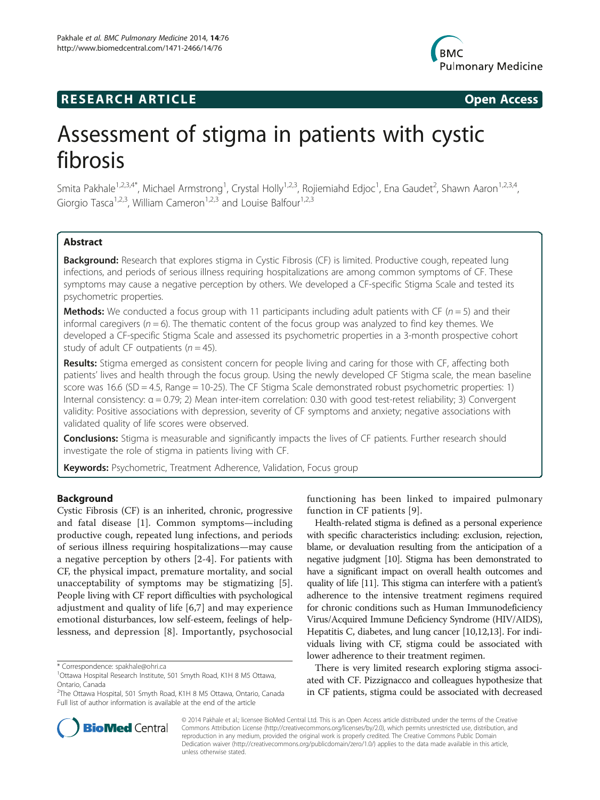



# Assessment of stigma in patients with cystic fibrosis

Smita Pakhale<sup>1,2,3,4\*</sup>, Michael Armstrong<sup>1</sup>, Crystal Holly<sup>1,2,3</sup>, Rojiemiahd Edjoc<sup>1</sup>, Ena Gaudet<sup>2</sup>, Shawn Aaron<sup>1,2,3,4</sup>, Giorgio Tasca<sup>1,2,3</sup>, William Cameron<sup>1,2,3</sup> and Louise Balfour<sup>1,2,3</sup>

# **Abstract**

Background: Research that explores stigma in Cystic Fibrosis (CF) is limited. Productive cough, repeated lung infections, and periods of serious illness requiring hospitalizations are among common symptoms of CF. These symptoms may cause a negative perception by others. We developed a CF-specific Stigma Scale and tested its psychometric properties.

**Methods:** We conducted a focus group with 11 participants including adult patients with CF ( $n = 5$ ) and their informal caregivers  $(n = 6)$ . The thematic content of the focus group was analyzed to find key themes. We developed a CF-specific Stigma Scale and assessed its psychometric properties in a 3-month prospective cohort study of adult CF outpatients  $(n = 45)$ .

Results: Stigma emerged as consistent concern for people living and caring for those with CF, affecting both patients' lives and health through the focus group. Using the newly developed CF Stigma scale, the mean baseline score was 16.6 (SD = 4.5, Range = 10-25). The CF Stigma Scale demonstrated robust psychometric properties: 1) Internal consistency: α = 0.79; 2) Mean inter-item correlation: 0.30 with good test-retest reliability; 3) Convergent validity: Positive associations with depression, severity of CF symptoms and anxiety; negative associations with validated quality of life scores were observed.

**Conclusions:** Stigma is measurable and significantly impacts the lives of CF patients. Further research should investigate the role of stigma in patients living with CF.

Keywords: Psychometric, Treatment Adherence, Validation, Focus group

# Background

Cystic Fibrosis (CF) is an inherited, chronic, progressive and fatal disease [\[1](#page-5-0)]. Common symptoms—including productive cough, repeated lung infections, and periods of serious illness requiring hospitalizations—may cause a negative perception by others [[2-4\]](#page-5-0). For patients with CF, the physical impact, premature mortality, and social unacceptability of symptoms may be stigmatizing [\[5](#page-5-0)]. People living with CF report difficulties with psychological adjustment and quality of life [[6,7](#page-5-0)] and may experience emotional disturbances, low self-esteem, feelings of helplessness, and depression [[8](#page-5-0)]. Importantly, psychosocial

functioning has been linked to impaired pulmonary function in CF patients [[9\]](#page-5-0).

Health-related stigma is defined as a personal experience with specific characteristics including: exclusion, rejection, blame, or devaluation resulting from the anticipation of a negative judgment [[10](#page-5-0)]. Stigma has been demonstrated to have a significant impact on overall health outcomes and quality of life [[11](#page-5-0)]. This stigma can interfere with a patient's adherence to the intensive treatment regimens required for chronic conditions such as Human Immunodeficiency Virus/Acquired Immune Deficiency Syndrome (HIV/AIDS), Hepatitis C, diabetes, and lung cancer [\[10,12,13](#page-5-0)]. For individuals living with CF, stigma could be associated with lower adherence to their treatment regimen.

There is very limited research exploring stigma associated with CF. Pizzignacco and colleagues hypothesize that in CF patients, stigma could be associated with decreased



© 2014 Pakhale et al.; licensee BioMed Central Ltd. This is an Open Access article distributed under the terms of the Creative Commons Attribution License [\(http://creativecommons.org/licenses/by/2.0\)](http://creativecommons.org/licenses/by/2.0), which permits unrestricted use, distribution, and reproduction in any medium, provided the original work is properly credited. The Creative Commons Public Domain Dedication waiver [\(http://creativecommons.org/publicdomain/zero/1.0/](http://creativecommons.org/publicdomain/zero/1.0/)) applies to the data made available in this article, unless otherwise stated.

<sup>\*</sup> Correspondence: [spakhale@ohri.ca](mailto:spakhale@ohri.ca) <sup>1</sup>

<sup>&</sup>lt;sup>1</sup>Ottawa Hospital Research Institute, 501 Smyth Road, K1H 8 M5 Ottawa, Ontario, Canada

<sup>&</sup>lt;sup>2</sup>The Ottawa Hospital, 501 Smyth Road, K1H 8 M5 Ottawa, Ontario, Canada Full list of author information is available at the end of the article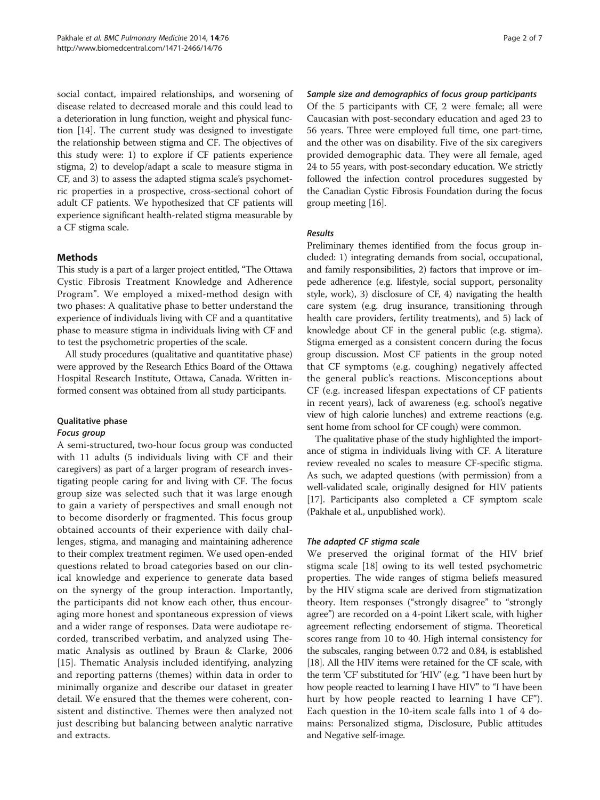social contact, impaired relationships, and worsening of disease related to decreased morale and this could lead to a deterioration in lung function, weight and physical function [[14](#page-5-0)]. The current study was designed to investigate the relationship between stigma and CF. The objectives of this study were: 1) to explore if CF patients experience stigma, 2) to develop/adapt a scale to measure stigma in CF, and 3) to assess the adapted stigma scale's psychometric properties in a prospective, cross-sectional cohort of adult CF patients. We hypothesized that CF patients will experience significant health-related stigma measurable by a CF stigma scale.

# Methods

This study is a part of a larger project entitled, "The Ottawa Cystic Fibrosis Treatment Knowledge and Adherence Program". We employed a mixed-method design with two phases: A qualitative phase to better understand the experience of individuals living with CF and a quantitative phase to measure stigma in individuals living with CF and to test the psychometric properties of the scale.

All study procedures (qualitative and quantitative phase) were approved by the Research Ethics Board of the Ottawa Hospital Research Institute, Ottawa, Canada. Written informed consent was obtained from all study participants.

# Qualitative phase

# Focus group

A semi-structured, two-hour focus group was conducted with 11 adults (5 individuals living with CF and their caregivers) as part of a larger program of research investigating people caring for and living with CF. The focus group size was selected such that it was large enough to gain a variety of perspectives and small enough not to become disorderly or fragmented. This focus group obtained accounts of their experience with daily challenges, stigma, and managing and maintaining adherence to their complex treatment regimen. We used open-ended questions related to broad categories based on our clinical knowledge and experience to generate data based on the synergy of the group interaction. Importantly, the participants did not know each other, thus encouraging more honest and spontaneous expression of views and a wider range of responses. Data were audiotape recorded, transcribed verbatim, and analyzed using Thematic Analysis as outlined by Braun & Clarke, 2006 [[15\]](#page-5-0). Thematic Analysis included identifying, analyzing and reporting patterns (themes) within data in order to minimally organize and describe our dataset in greater detail. We ensured that the themes were coherent, consistent and distinctive. Themes were then analyzed not just describing but balancing between analytic narrative and extracts.

# Sample size and demographics of focus group participants

Of the 5 participants with CF, 2 were female; all were Caucasian with post-secondary education and aged 23 to 56 years. Three were employed full time, one part-time, and the other was on disability. Five of the six caregivers provided demographic data. They were all female, aged 24 to 55 years, with post-secondary education. We strictly followed the infection control procedures suggested by the Canadian Cystic Fibrosis Foundation during the focus group meeting [[16](#page-5-0)].

# Results

Preliminary themes identified from the focus group included: 1) integrating demands from social, occupational, and family responsibilities, 2) factors that improve or impede adherence (e.g. lifestyle, social support, personality style, work), 3) disclosure of CF, 4) navigating the health care system (e.g. drug insurance, transitioning through health care providers, fertility treatments), and 5) lack of knowledge about CF in the general public (e.g. stigma). Stigma emerged as a consistent concern during the focus group discussion. Most CF patients in the group noted that CF symptoms (e.g. coughing) negatively affected the general public's reactions. Misconceptions about CF (e.g. increased lifespan expectations of CF patients in recent years), lack of awareness (e.g. school's negative view of high calorie lunches) and extreme reactions (e.g. sent home from school for CF cough) were common.

The qualitative phase of the study highlighted the importance of stigma in individuals living with CF. A literature review revealed no scales to measure CF-specific stigma. As such, we adapted questions (with permission) from a well-validated scale, originally designed for HIV patients [[17](#page-5-0)]. Participants also completed a CF symptom scale (Pakhale et al., unpublished work).

# The adapted CF stigma scale

We preserved the original format of the HIV brief stigma scale [[18\]](#page-5-0) owing to its well tested psychometric properties. The wide ranges of stigma beliefs measured by the HIV stigma scale are derived from stigmatization theory. Item responses ("strongly disagree" to "strongly agree") are recorded on a 4-point Likert scale, with higher agreement reflecting endorsement of stigma. Theoretical scores range from 10 to 40. High internal consistency for the subscales, ranging between 0.72 and 0.84, is established [[18](#page-5-0)]. All the HIV items were retained for the CF scale, with the term 'CF'substituted for 'HIV' (e.g. "I have been hurt by how people reacted to learning I have HIV" to "I have been hurt by how people reacted to learning I have CF"). Each question in the 10-item scale falls into 1 of 4 domains: Personalized stigma, Disclosure, Public attitudes and Negative self-image.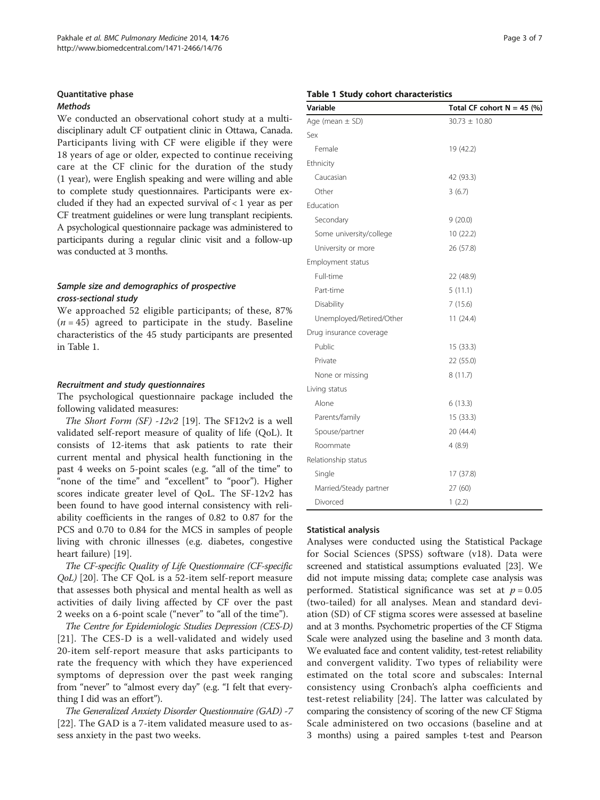# Quantitative phase

# Methods

We conducted an observational cohort study at a multidisciplinary adult CF outpatient clinic in Ottawa, Canada. Participants living with CF were eligible if they were 18 years of age or older, expected to continue receiving care at the CF clinic for the duration of the study (1 year), were English speaking and were willing and able to complete study questionnaires. Participants were excluded if they had an expected survival of  $< 1$  year as per CF treatment guidelines or were lung transplant recipients. A psychological questionnaire package was administered to participants during a regular clinic visit and a follow-up was conducted at 3 months.

# Sample size and demographics of prospective cross-sectional study

We approached 52 eligible participants; of these, 87%  $(n = 45)$  agreed to participate in the study. Baseline characteristics of the 45 study participants are presented in Table 1.

# Recruitment and study questionnaires

The psychological questionnaire package included the following validated measures:

The Short Form  $(SF)$  -12v2 [[19\]](#page-5-0). The SF12v2 is a well validated self-report measure of quality of life (QoL). It consists of 12-items that ask patients to rate their current mental and physical health functioning in the past 4 weeks on 5-point scales (e.g. "all of the time" to "none of the time" and "excellent" to "poor"). Higher scores indicate greater level of QoL. The SF-12v2 has been found to have good internal consistency with reliability coefficients in the ranges of 0.82 to 0.87 for the PCS and 0.70 to 0.84 for the MCS in samples of people living with chronic illnesses (e.g. diabetes, congestive heart failure) [[19](#page-5-0)].

The CF-specific Quality of Life Questionnaire (CF-specific QoL) [\[20](#page-5-0)]. The CF QoL is a 52-item self-report measure that assesses both physical and mental health as well as activities of daily living affected by CF over the past 2 weeks on a 6-point scale ("never" to "all of the time").

The Centre for Epidemiologic Studies Depression (CES-D) [[21](#page-5-0)]. The CES-D is a well-validated and widely used 20-item self-report measure that asks participants to rate the frequency with which they have experienced symptoms of depression over the past week ranging from "never" to "almost every day" (e.g. "I felt that everything I did was an effort").

The Generalized Anxiety Disorder Questionnaire (GAD) -7 [[22\]](#page-5-0). The GAD is a 7-item validated measure used to assess anxiety in the past two weeks.

| - | rage |  | ΩE |  |
|---|------|--|----|--|
|---|------|--|----|--|

## Table 1 Study cohort characteristics

| Variable                 | Total CF cohort $N = 45$ (%) |
|--------------------------|------------------------------|
| Age (mean $\pm$ SD)      | $30.73 \pm 10.80$            |
| Sex                      |                              |
| Female                   | 19 (42.2)                    |
| Ethnicity                |                              |
| Caucasian                | 42 (93.3)                    |
| Other                    | 3(6.7)                       |
| Education                |                              |
| Secondary                | 9(20.0)                      |
| Some university/college  | 10(22.2)                     |
| University or more       | 26 (57.8)                    |
| Employment status        |                              |
| Full-time                | 22 (48.9)                    |
| Part-time                | 5(11.1)                      |
| Disability               | 7(15.6)                      |
| Unemployed/Retired/Other | 11(24.4)                     |
| Drug insurance coverage  |                              |
| Public                   | 15(33.3)                     |
| Private                  | 22 (55.0)                    |
| None or missing          | 8(11.7)                      |
| Living status            |                              |
| Alone                    | 6(13.3)                      |
| Parents/family           | 15(33.3)                     |
| Spouse/partner           | 20 (44.4)                    |
| Roommate                 | 4(8.9)                       |
| Relationship status      |                              |
| Single                   | 17 (37.8)                    |
| Married/Steady partner   | 27(60)                       |
| Divorced                 | 1(2.2)                       |

# Statistical analysis

Analyses were conducted using the Statistical Package for Social Sciences (SPSS) software (v18). Data were screened and statistical assumptions evaluated [\[23\]](#page-5-0). We did not impute missing data; complete case analysis was performed. Statistical significance was set at  $p = 0.05$ (two-tailed) for all analyses. Mean and standard deviation (SD) of CF stigma scores were assessed at baseline and at 3 months. Psychometric properties of the CF Stigma Scale were analyzed using the baseline and 3 month data. We evaluated face and content validity, test-retest reliability and convergent validity. Two types of reliability were estimated on the total score and subscales: Internal consistency using Cronbach's alpha coefficients and test-retest reliability [[24\]](#page-5-0). The latter was calculated by comparing the consistency of scoring of the new CF Stigma Scale administered on two occasions (baseline and at 3 months) using a paired samples t-test and Pearson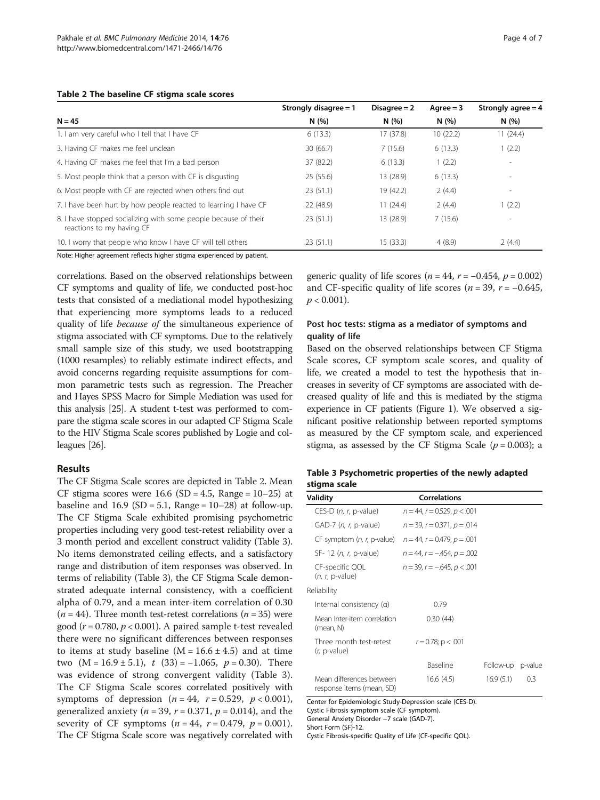#### Table 2 The I

| Table 2 The baseline CF stigma scale scores              |                         |                |             |                      |
|----------------------------------------------------------|-------------------------|----------------|-------------|----------------------|
|                                                          | Strongly disagree $= 1$ | Disagree $= 2$ | Agree $=$ 3 | Strongly agree $=$ 4 |
| $N = 45$                                                 | N(96)                   | N(96)          | N(96)       | N(%)                 |
| 1. I am very careful who I tell that I have CF           | 6(13.3)                 | 17 (37.8)      | 10(22.2)    | 1(24.4)              |
| 3. Having CF makes me feel unclean                       | 30(66.7)                | 7(15.6)        | 6(13.3)     | 1(2.2)               |
| 4. Having CF makes me feel that I'm a bad person         | 37 (82.2)               | 6(13.3)        | 1(2.2)      | $\sim$               |
| 5. Most people think that a person with CF is disgusting | 25(55.6)                | 13 (28.9)      | 6(13.3)     | $\sim$               |

6. Most people with CF are rejected when others find out 23 (51.1) 19 (42.2) 2 (4.4) -

7. I have been hurt by how people reacted to learning I have CF 22 (48.9) 11 (24.4) 2 (4.4) 1 (2.2)

10. I worry that people who know I have CF will tell others 23 (51.1) 15 (33.3) 4 (8.9) 2 (4.4)

Note: Higher agreement reflects higher stigma experienced by patient.

8. I have stopped socializing with some people because of their

reactions to my having CF

correlations. Based on the observed relationships between CF symptoms and quality of life, we conducted post-hoc tests that consisted of a mediational model hypothesizing that experiencing more symptoms leads to a reduced quality of life because of the simultaneous experience of stigma associated with CF symptoms. Due to the relatively small sample size of this study, we used bootstrapping (1000 resamples) to reliably estimate indirect effects, and avoid concerns regarding requisite assumptions for common parametric tests such as regression. The Preacher and Hayes SPSS Macro for Simple Mediation was used for this analysis [[25](#page-5-0)]. A student t-test was performed to compare the stigma scale scores in our adapted CF Stigma Scale to the HIV Stigma Scale scores published by Logie and colleagues [[26\]](#page-6-0).

## Results

The CF Stigma Scale scores are depicted in Table 2. Mean CF stigma scores were  $16.6$  (SD = 4.5, Range =  $10-25$ ) at baseline and  $16.9$  (SD = 5.1, Range =  $10-28$ ) at follow-up. The CF Stigma Scale exhibited promising psychometric properties including very good test-retest reliability over a 3 month period and excellent construct validity (Table 3). No items demonstrated ceiling effects, and a satisfactory range and distribution of item responses was observed. In terms of reliability (Table 3), the CF Stigma Scale demonstrated adequate internal consistency, with a coefficient alpha of 0.79, and a mean inter-item correlation of 0.30 ( $n = 44$ ). Three month test-retest correlations ( $n = 35$ ) were good ( $r = 0.780$ ,  $p < 0.001$ ). A paired sample t-test revealed there were no significant differences between responses to items at study baseline  $(M = 16.6 \pm 4.5)$  and at time two  $(M = 16.9 \pm 5.1)$ ,  $t(33) = -1.065$ ,  $p = 0.30$ ). There was evidence of strong convergent validity (Table 3). The CF Stigma Scale scores correlated positively with symptoms of depression ( $n = 44$ ,  $r = 0.529$ ,  $p < 0.001$ ), generalized anxiety ( $n = 39$ ,  $r = 0.371$ ,  $p = 0.014$ ), and the severity of CF symptoms ( $n = 44$ ,  $r = 0.479$ ,  $p = 0.001$ ). The CF Stigma Scale score was negatively correlated with

generic quality of life scores ( $n = 44$ ,  $r = -0.454$ ,  $p = 0.002$ ) and CF-specific quality of life scores ( $n = 39$ ,  $r = -0.645$ ,  $p < 0.001$ ).

# Post hoc tests: stigma as a mediator of symptoms and quality of life

23 (51.1) 13 (28.9) 7 (15.6)

Based on the observed relationships between CF Stigma Scale scores, CF symptom scale scores, and quality of life, we created a model to test the hypothesis that increases in severity of CF symptoms are associated with decreased quality of life and this is mediated by the stigma experience in CF patients (Figure [1\)](#page-4-0). We observed a significant positive relationship between reported symptoms as measured by the CF symptom scale, and experienced stigma, as assessed by the CF Stigma Scale ( $p = 0.003$ ); a

|              | Table 3 Psychometric properties of the newly adapted |  |  |
|--------------|------------------------------------------------------|--|--|
| stigma scale |                                                      |  |  |

| Validity                                              | <b>Correlations</b>                  |           |         |
|-------------------------------------------------------|--------------------------------------|-----------|---------|
| CES-D $(n, r, p-value)$                               | $n = 44$ , $r = 0.529$ , $p < .001$  |           |         |
| GAD-7 $(n, r, p-value)$                               | $n = 39$ , $r = 0.371$ , $p = 0.014$ |           |         |
| CF symptom $(n, r, p-value)$                          | $n = 44$ , $r = 0.479$ , $p = .001$  |           |         |
| SF-12 $(n, r, p-value)$                               | $n = 44$ , $r = -454$ , $p = .002$   |           |         |
| CF-specific QOL<br>$(n, r, p-value)$                  | $n = 39$ , $r = -.645$ , $p < .001$  |           |         |
| Reliability                                           |                                      |           |         |
| Internal consistency (α)                              | 0.79                                 |           |         |
| Mean Inter-item correlation<br>(mean, N)              | 0.30(44)                             |           |         |
| Three month test-retest<br>$(r, p-value)$             | $r = 0.78$ ; p $< .001$              |           |         |
|                                                       | Baseline                             | Follow-up | p-value |
| Mean differences between<br>response items (mean, SD) | 16.6(4.5)                            | 16.9(5.1) | 0.3     |

Center for Epidemiologic Study-Depression scale (CES-D). Cystic Fibrosis symptom scale (CF symptom). General Anxiety Disorder −7 scale (GAD-7). Short Form (SF)-12.

Cystic Fibrosis-specific Quality of Life (CF-specific QOL).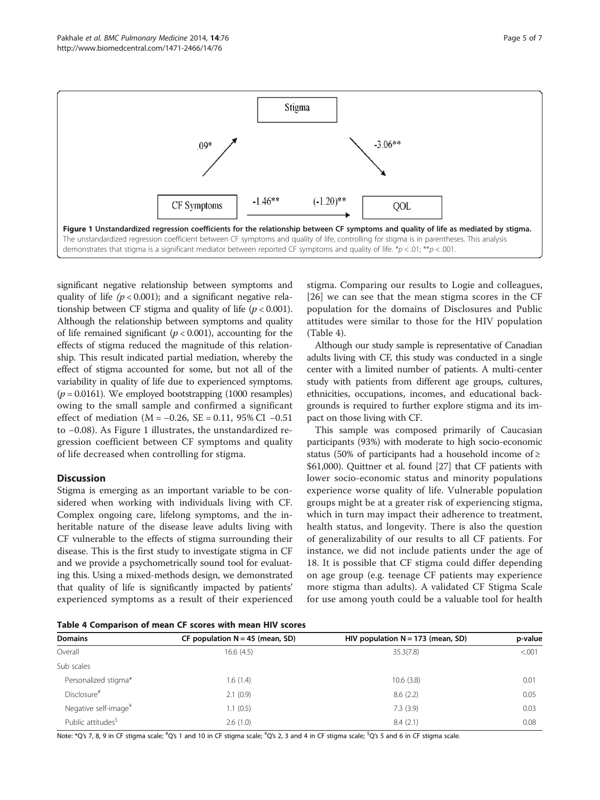<span id="page-4-0"></span>

significant negative relationship between symptoms and quality of life  $(p < 0.001)$ ; and a significant negative relationship between CF stigma and quality of life ( $p < 0.001$ ). Although the relationship between symptoms and quality of life remained significant ( $p < 0.001$ ), accounting for the effects of stigma reduced the magnitude of this relationship. This result indicated partial mediation, whereby the effect of stigma accounted for some, but not all of the variability in quality of life due to experienced symptoms.  $(p = 0.0161)$ . We employed bootstrapping (1000 resamples) owing to the small sample and confirmed a significant effect of mediation (M =  $-0.26$ , SE = 0.11, 95% CI  $-0.51$ to −0.08). As Figure 1 illustrates, the unstandardized regression coefficient between CF symptoms and quality of life decreased when controlling for stigma.

## **Discussion**

Stigma is emerging as an important variable to be considered when working with individuals living with CF. Complex ongoing care, lifelong symptoms, and the inheritable nature of the disease leave adults living with CF vulnerable to the effects of stigma surrounding their disease. This is the first study to investigate stigma in CF and we provide a psychometrically sound tool for evaluating this. Using a mixed-methods design, we demonstrated that quality of life is significantly impacted by patients' experienced symptoms as a result of their experienced stigma. Comparing our results to Logie and colleagues, [[26\]](#page-6-0) we can see that the mean stigma scores in the CF population for the domains of Disclosures and Public attitudes were similar to those for the HIV population (Table 4).

Although our study sample is representative of Canadian adults living with CF, this study was conducted in a single center with a limited number of patients. A multi-center study with patients from different age groups, cultures, ethnicities, occupations, incomes, and educational backgrounds is required to further explore stigma and its impact on those living with CF.

This sample was composed primarily of Caucasian participants (93%) with moderate to high socio-economic status (50% of participants had a household income of ≥ \$61,000). Quittner et al. found [[27](#page-6-0)] that CF patients with lower socio-economic status and minority populations experience worse quality of life. Vulnerable population groups might be at a greater risk of experiencing stigma, which in turn may impact their adherence to treatment, health status, and longevity. There is also the question of generalizability of our results to all CF patients. For instance, we did not include patients under the age of 18. It is possible that CF stigma could differ depending on age group (e.g. teenage CF patients may experience more stigma than adults). A validated CF Stigma Scale for use among youth could be a valuable tool for health

Table 4 Comparison of mean CF scores with mean HIV scores

| <b>Domains</b>                   | CF population $N = 45$ (mean, SD) | HIV population $N = 173$ (mean, SD) | p-value |
|----------------------------------|-----------------------------------|-------------------------------------|---------|
| Overall                          | 16.6(4.5)                         | 35.3(7.8)                           | < 0.001 |
| Sub scales                       |                                   |                                     |         |
| Personalized stigma*             | 1.6(1.4)                          | 10.6(3.8)                           | 0.01    |
| Disclosure <sup>#</sup>          | 2.1(0.9)                          | 8.6(2.2)                            | 0.05    |
| Negative self-image <sup>*</sup> | 1.1(0.5)                          | 7.3(3.9)                            | 0.03    |
| Public attitudes <sup>\$</sup>   | 2.6(1.0)                          | 8.4(2.1)                            | 0.08    |
|                                  |                                   |                                     |         |

Note: \*Q's 7, 8, 9 in CF stigma scale; <sup>#</sup>Q's 1 and 10 in CF stigma scale; <sup>¥</sup>Q's 2, 3 and 4 in CF stigma scale; <sup>\$</sup>Q's 5 and 6 in CF stigma scale.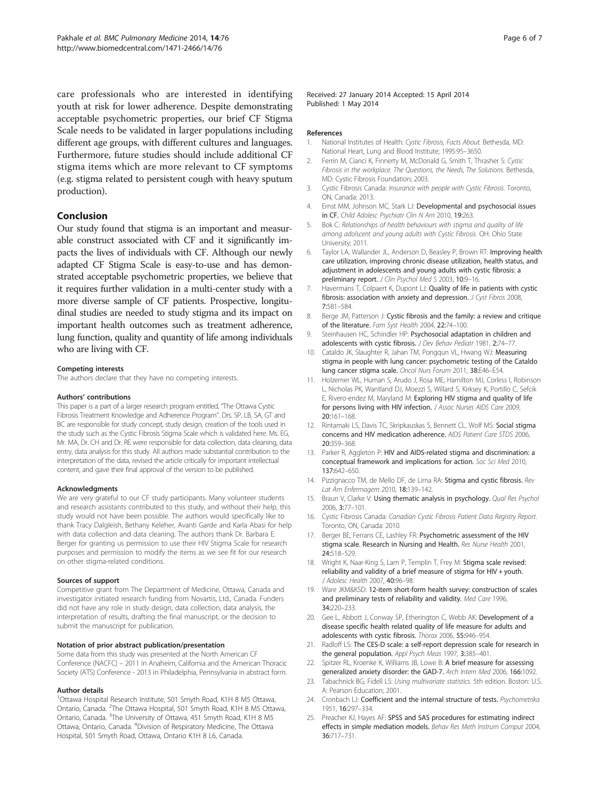<span id="page-5-0"></span>care professionals who are interested in identifying youth at risk for lower adherence. Despite demonstrating acceptable psychometric properties, our brief CF Stigma Scale needs to be validated in larger populations including different age groups, with different cultures and languages. Furthermore, future studies should include additional CF stigma items which are more relevant to CF symptoms (e.g. stigma related to persistent cough with heavy sputum production).

## Conclusion

Our study found that stigma is an important and measurable construct associated with CF and it significantly impacts the lives of individuals with CF. Although our newly adapted CF Stigma Scale is easy-to-use and has demonstrated acceptable psychometric properties, we believe that it requires further validation in a multi-center study with a more diverse sample of CF patients. Prospective, longitudinal studies are needed to study stigma and its impact on important health outcomes such as treatment adherence, lung function, quality and quantity of life among individuals who are living with CF.

#### Competing interests

The authors declare that they have no competing interests.

#### Authors' contributions

This paper is a part of a larger research program entitled, "The Ottawa Cystic Fibrosis Treatment Knowledge and Adherence Program". Drs. SP, LB, SA, GT and BC are responsible for study concept, study design, creation of the tools used in the study such as the Cystic Fibrosis Stigma Scale which is validated here. Ms. EG, Mr. MA, Dr. CH and Dr. RE were responsible for data collection, data cleaning, data entry, data analysis for this study. All authors made substantial contribution to the interpretation of the data, revised the article critically for important intellectual content, and gave their final approval of the version to be published.

#### Acknowledgments

We are very grateful to our CF study participants. Many volunteer students and research assistants contributed to this study, and without their help, this study would not have been possible. The authors would specifically like to thank Tracy Dalgleish, Bethany Keleher, Avanti Garde and Karla Abasi for help with data collection and data cleaning. The authors thank Dr. Barbara E. Berger for granting us permission to use their HIV Stigma Scale for research purposes and permission to modify the items as we see fit for our research on other stigma-related conditions.

#### Sources of support

Competitive grant from The Department of Medicine, Ottawa, Canada and investigator initiated research funding from Novartis, Ltd., Canada. Funders did not have any role in study design, data collection, data analysis, the interpretation of results, drafting the final manuscript, or the decision to submit the manuscript for publication.

#### Notation of prior abstract publication/presentation

Some data from this study was presented at the North American CF Conference (NACFC) – 2011 in Anaheim, California and the American Thoracic Society (ATS) Conference - 2013 in Philadelphia, Pennsylvania in abstract form.

#### Author details

<sup>1</sup>Ottawa Hospital Research Institute, 501 Smyth Road, K1H 8 M5 Ottawa, Ontario, Canada. <sup>2</sup>The Ottawa Hospital, 501 Smyth Road, K1H 8 M5 Ottawa,<br>Ontario, Canada. <sup>3</sup>The University of Ottawa, 451 Smyth Road, K1H 8 M5 Ottawa, Ontario, Canada. <sup>4</sup>Division of Respiratory Medicine, The Ottawa Hospital, 501 Smyth Road, Ottawa, Ontario K1H 8 L6, Canada.

Received: 27 January 2014 Accepted: 15 April 2014 Published: 1 May 2014

#### References

- 1. National Institutes of Health: Cystic Fibrosis, Facts About. Bethesda, MD: National Heart, Lung and Blood Institute; 1995:95–3650.
- 2. Ferrin M, Cianci K, Finnerty M, McDonald G, Smith T, Thrasher S: Cystic Fibrosis in the workplace. The Questions, the Needs, The Solutions. Bethesda, MD: Cystic Fibrosis Foundation; 2003.
- 3. Cystic Fibrosis Canada: Insurance with people with Cystic Fibrosis. Toronto, ON, Canada: 2013.
- 4. Ernst MM, Johnson MC, Stark LJ: Developmental and psychosocial issues in CF. Child Adolesc Psychiatr Clin N Am 2010, 19:263.
- 5. Bok C: Relationships of health behaviours with stigma and quality of life among adolscent and young adults with Cystic Fibrosis. OH: Ohio State University; 2011.
- 6. Taylor LA, Wallander JL, Anderson D, Beasley P, Brown RT: Improving health care utilization, improving chronic disease utilization, health status, and adjustment in adolescents and young adults with cystic fibrosis: a preliminary report. J Clin Psychol Med S 2003, 10:9-16.
- 7. Havermans T, Colpaert K, Dupont LJ: Quality of life in patients with cystic fibrosis: association with anxiety and depression. J Cyst Fibros 2008, 7:581–584.
- 8. Berge JM, Patterson J: Cystic fibrosis and the family: a review and critique of the literature. Fam Syst Health 2004, 22:74–100.
- 9. Steinhausen HC, Schindler HP: Psychosocial adaptation in children and adolescents with cystic fibrosis. J Dev Behav Pediatr 1981, 2:74-77.
- 10. Cataldo JK, Slaughter R, Jahan TM, Pongqun VL, Hwang WJ: Measuring stigma in people with lung cancer: psychometric testing of the Cataldo lung cancer stigma scale. Oncol Nurs Forum 2011, 38:E46–E54.
- 11. Holzemer WL, Human S, Arudo J, Rosa ME, Hamilton MJ, Corless I, Robinson L, Nicholas PK, Wantland DJ, Moezzi S, Willard S, Kirksey K, Portillo C, Sefcik E, Rivero-endez M, Maryland M: Exploring HIV stigma and quality of life for persons living with HIV infection. J Assoc Nurses AIDS Care 2009, 20:161–168.
- 12. Rintamaki LS, Davis TC, Skripkauskas S, Bennett CL, Wolf MS: Social stigma concerns and HIV medication adherence. AIDS Patient Care STDS 2006, 20:359–368.
- 13. Parker R, Aggleton P: HIV and AIDS-related stigma and discrimination: a conceptual framework and implications for action. Soc Sci Med 2010, 137:642–650.
- 14. Pizzignacco TM, de Mello DF, de Lima RA: Stigma and cystic fibrosis. Rev Lat Am Enfermagem 2010, 18:139–142.
- 15. Braun V, Clarke V: Using thematic analysis in psychology. Qual Res Psychol 2006, 3:77–101.
- 16. Cystic Fibrosis Canada: Canadian Cystic Fibrosis Patient Data Registry Report. Toronto, ON, Canada: 2010.
- 17. Berger BE, Ferrans CE, Lashley FR: Psychometric assessment of the HIV stigma scale. Research in Nursing and Health. Res Nurse Health 2001, 24:518–529.
- 18. Wright K, Naar-King S, Lam P, Templin T, Frey M: Stigma scale revised: reliability and validity of a brief measure of stigma for HIV + youth. J Adolesc Health 2007, 40:96-98.
- 19. Ware JKM&KSD: 12-item short-form health survey: construction of scales and preliminary tests of reliability and validity. Med Care 1996, 34:220–233.
- 20. Gee L, Abbott J, Conway SP, Etherington C, Webb AK: Development of a disease specific health related quality of life measure for adults and adolescents with cystic fibrosis. Thorax 2006, 55:946–954.
- 21. Radloff LS: The CES-D scale: a self-report depression scale for research in the general population. Appl Psych Meas 1997, 3:385-401.
- 22. Spitzer RL, Kroenke K, Williams JB, Lowe B: A brief measure for assessing generalized anxiety disorder: the GAD-7. Arch Intern Med 2006, 166:1092.
- 23. Tabachnick BG, Fidell LS: Using multivariate statistics. 5th edition. Boston: U.S. A: Pearson Education; 2001.
- 24. Cronbach LJ: Coefficient and the internal structure of tests. Psychometrika 1951, 16:297–334.
- 25. Preacher KJ, Hayes AF: SPSS and SAS procedures for estimating indirect effects in simple mediation models. Behav Res Meth Instrum Comput 2004, 36:717–731.